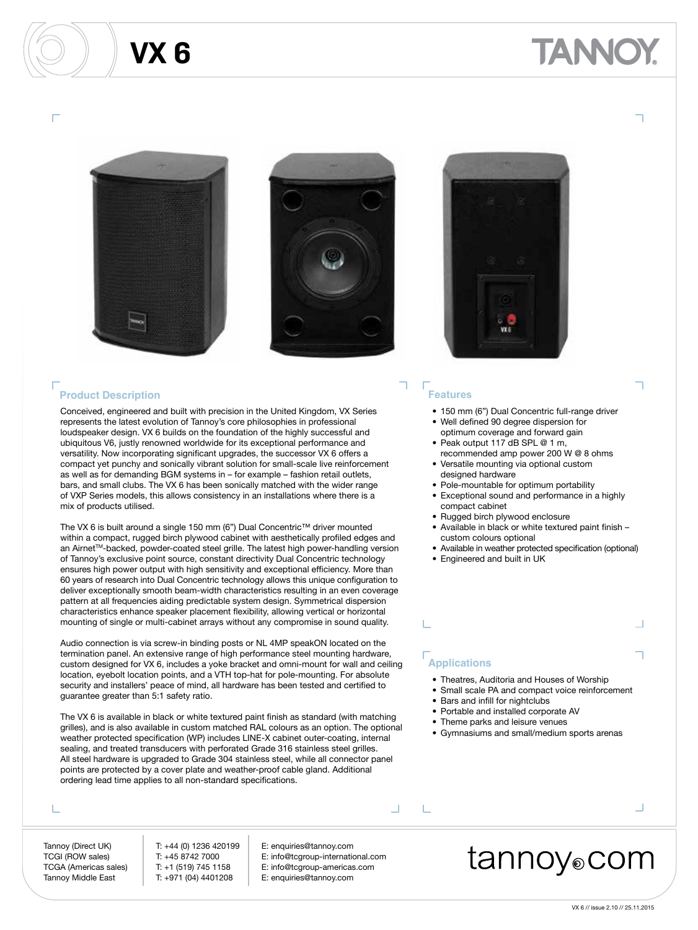# ANNO





#### **Product Description**

Conceived, engineered and built with precision in the United Kingdom, VX Series represents the latest evolution of Tannoy's core philosophies in professional loudspeaker design. VX 6 builds on the foundation of the highly successful and ubiquitous V6, justly renowned worldwide for its exceptional performance and versatility. Now incorporating significant upgrades, the successor VX 6 offers a compact yet punchy and sonically vibrant solution for small-scale live reinforcement as well as for demanding BGM systems in – for example – fashion retail outlets, bars, and small clubs. The VX 6 has been sonically matched with the wider range of VXP Series models, this allows consistency in an installations where there is a mix of products utilised.

The VX 6 is built around a single 150 mm (6") Dual Concentric™ driver mounted within a compact, rugged birch plywood cabinet with aesthetically profiled edges and an Airnet™-backed, powder-coated steel grille. The latest high power-handling version of Tannoy's exclusive point source, constant directivity Dual Concentric technology ensures high power output with high sensitivity and exceptional efficiency. More than 60 years of research into Dual Concentric technology allows this unique configuration to deliver exceptionally smooth beam-width characteristics resulting in an even coverage pattern at all frequencies aiding predictable system design. Symmetrical dispersion characteristics enhance speaker placement flexibility, allowing vertical or horizontal mounting of single or multi-cabinet arrays without any compromise in sound quality.

Audio connection is via screw-in binding posts or NL 4MP speakON located on the termination panel. An extensive range of high performance steel mounting hardware, custom designed for VX 6, includes a yoke bracket and omni-mount for wall and ceiling location, eyebolt location points, and a VTH top-hat for pole-mounting. For absolute security and installers' peace of mind, all hardware has been tested and certified to guarantee greater than 5:1 safety ratio.

The VX 6 is available in black or white textured paint finish as standard (with matching grilles), and is also available in custom matched RAL colours as an option. The optional weather protected specification (WP) includes LINE-X cabinet outer-coating, internal sealing, and treated transducers with perforated Grade 316 stainless steel grilles. All steel hardware is upgraded to Grade 304 stainless steel, while all connector panel points are protected by a cover plate and weather-proof cable gland. Additional ordering lead time applies to all non-standard specifications.

#### т

Tannoy (Direct UK) T: +44 (0) 1236 420199 E: enquiries@tannoy.com Tannoy Middle East T: +971 (04) 4401208 E: enquiries@tannoy.com

L

- TCGI (ROW sales) T: +45 8742 7000 E: info@tcgroup-international.com TCGA (Americas sales) T: +1 (519) 745 1158 E: info@tcgroup-americas.com
	-



#### **Features**

- 150 mm (6") Dual Concentric full-range driver
- Well defined 90 degree dispersion for optimum coverage and forward gain
- Peak output 117 dB SPL @ 1 m, recommended amp power 200 W @ 8 ohms • Versatile mounting via optional custom
- designed hardware
- Pole-mountable for optimum portability
- Exceptional sound and performance in a highly compact cabinet
- Rugged birch plywood enclosure
- Available in black or white textured paint finish custom colours optional
- Available in weather protected specification (optional)
- Engineered and built in UK

### **Applications**

- Theatres, Auditoria and Houses of Worship
- Small scale PA and compact voice reinforcement
- Bars and infill for nightclubs
- Portable and installed corporate AV
- Theme parks and leisure venues
- Gymnasiums and small/medium sports arenas

#### $\Box$

## tannoy⊚com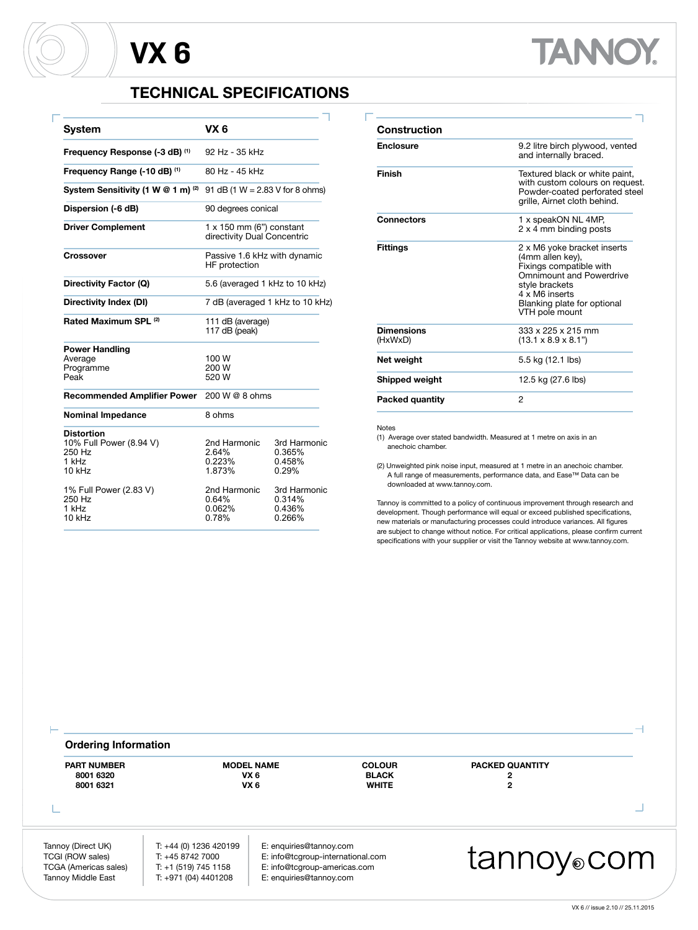Г

## **TECHNICAL SPECIFICATIONS**

| System                                                                    | VX 6                                                           |                                            |
|---------------------------------------------------------------------------|----------------------------------------------------------------|--------------------------------------------|
| Frequency Response (-3 dB) (1)                                            | 92 Hz - 35 kHz                                                 |                                            |
| Frequency Range (-10 dB) (1)                                              | 80 Hz - 45 kHz                                                 |                                            |
| System Sensitivity (1 W @ 1 m) (2)                                        | 91 dB (1 $W = 2.83$ V for 8 ohms)                              |                                            |
| Dispersion (-6 dB)                                                        | 90 degrees conical                                             |                                            |
| <b>Driver Complement</b>                                                  | $1 \times 150$ mm (6") constant<br>directivity Dual Concentric |                                            |
| Crossover                                                                 | Passive 1.6 kHz with dynamic<br>HF protection                  |                                            |
| Directivity Factor (Q)                                                    | 5.6 (averaged 1 kHz to 10 kHz)                                 |                                            |
| Directivity Index (DI)                                                    | 7 dB (averaged 1 kHz to 10 kHz)                                |                                            |
| Rated Maximum SPL (2)                                                     | 111 dB (average)<br>117 dB (peak)                              |                                            |
| <b>Power Handling</b><br>Average<br>Programme<br>Peak                     | 100 W<br>200 W<br>520 W                                        |                                            |
| <b>Recommended Amplifier Power</b>                                        | 200 W @ 8 ohms                                                 |                                            |
| <b>Nominal Impedance</b>                                                  | 8 ohms                                                         |                                            |
| <b>Distortion</b><br>10% Full Power (8.94 V)<br>250 Hz<br>1 kHz<br>10 kHz | 2nd Harmonic<br>2.64%<br>0.223%<br>1.873%                      | 3rd Harmonic<br>0.365%<br>0.458%<br>0.29%  |
| 1% Full Power (2.83 V)<br>250 Hz<br>1 kHz<br>10 kHz                       | 2nd Harmonic<br>0.64%<br>0.062%<br>0.78%                       | 3rd Harmonic<br>0.314%<br>0.436%<br>0.266% |

| Construction                 |                                                                                                                                                                                                    |  |
|------------------------------|----------------------------------------------------------------------------------------------------------------------------------------------------------------------------------------------------|--|
| <b>Enclosure</b>             | 9.2 litre birch plywood, vented<br>and internally braced.                                                                                                                                          |  |
| Finish                       | Textured black or white paint,<br>with custom colours on request.<br>Powder-coated perforated steel<br>grille, Airnet cloth behind.                                                                |  |
| Connectors                   | 1 x speakON NL 4MP.<br>2 x 4 mm binding posts                                                                                                                                                      |  |
| <b>Fittings</b>              | 2 x M6 yoke bracket inserts<br>(4mm allen key),<br>Fixings compatible with<br><b>Omnimount and Powerdrive</b><br>stvle brackets<br>4 x M6 inserts<br>Blanking plate for optional<br>VTH pole mount |  |
| <b>Dimensions</b><br>(HxWxD) | 333 x 225 x 215 mm<br>$(13.1 \times 8.9 \times 8.1")$                                                                                                                                              |  |
| Net weight                   | 5.5 kg (12.1 lbs)                                                                                                                                                                                  |  |
| Shipped weight               | 12.5 kg (27.6 lbs)                                                                                                                                                                                 |  |
| <b>Packed quantity</b>       | 2                                                                                                                                                                                                  |  |

**TANNOY.** 

#### Notes

(1) Average over stated bandwidth. Measured at 1 metre on axis in an anechoic chamber.

(2) Unweighted pink noise input, measured at 1 metre in an anechoic chamber. A full range of measurements, performance data, and Ease™ Data can be downloaded at www.tannoy.com.

Tannoy is committed to a policy of continuous improvement through research and development. Though performance will equal or exceed published specifications, new materials or manufacturing processes could introduce variances. All figures are subject to change without notice. For critical applications, please confirm current specifications with your supplier or visit the Tannoy website at www.tannoy.com.

|                         | <b>Ordering Information</b> |                                               |                                                                                    |                                                                                             |                                                                                                     |  |  |
|-------------------------|-----------------------------|-----------------------------------------------|------------------------------------------------------------------------------------|---------------------------------------------------------------------------------------------|-----------------------------------------------------------------------------------------------------|--|--|
|                         | <b>PACKED QUANTITY</b>      | <b>COLOUR</b><br><b>BLACK</b><br><b>WHITE</b> | <b>MODEL NAME</b><br>VX <sub>6</sub><br>VX <sub>6</sub>                            |                                                                                             | <b>PART NUMBER</b><br>8001 6320<br>8001 6321                                                        |  |  |
|                         |                             |                                               |                                                                                    |                                                                                             |                                                                                                     |  |  |
| tannoy <sub>o</sub> com |                             | E: info@tcgroup-international.com             | E: enquiries@tannoy.com<br>E: info@tcqroup-americas.com<br>E: enquiries@tannoy.com | T: +44 (0) 1236 420199<br>T: +45 8742 7000<br>$T: +1(519) 745 1158$<br>T: +971 (04) 4401208 | Tannoy (Direct UK)<br>TCGI (ROW sales)<br><b>TCGA (Americas sales)</b><br><b>Tannoy Middle East</b> |  |  |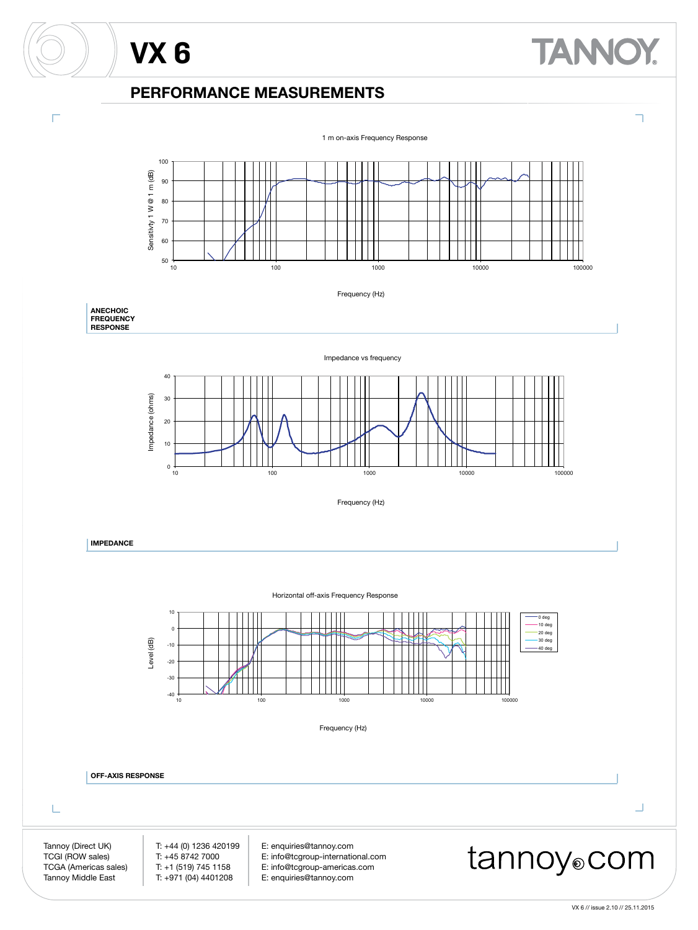# **TANNOY**

### **PERFORMANCE MEASUREMENTS**

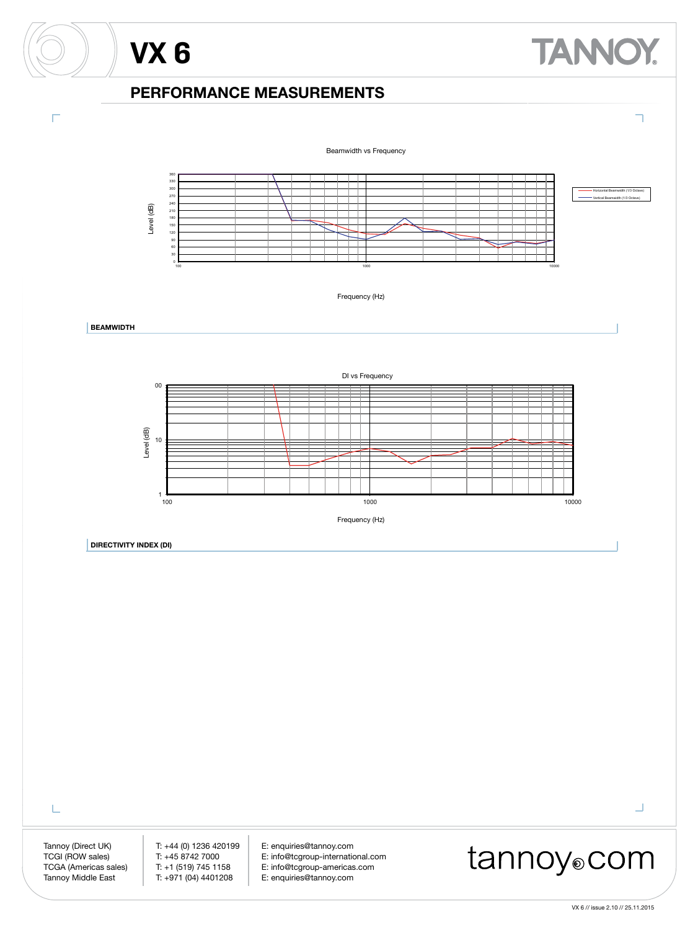## **PERFORMANCE MEASUREMENTS**

**VX 6**

Г



L

Tannoy (Direct UK) T: +44 (0) 1236 420199 E: enquiries@tannoy.com<br>TCGI (ROW sales) T: +45 8742 7000 E: info@tcgroup-internation E: info@tcgroup-international.com TCGA (Americas sales) T: +1 (519) 745 1158 E: info@tcgroup-americas.com<br>Tannoy Middle East T: +971 (04) 4401208 E: enquiries@tannoy.com E: enquiries@tannoy.com

## tannoy®com

 $\Box$ 

**TANNOY.**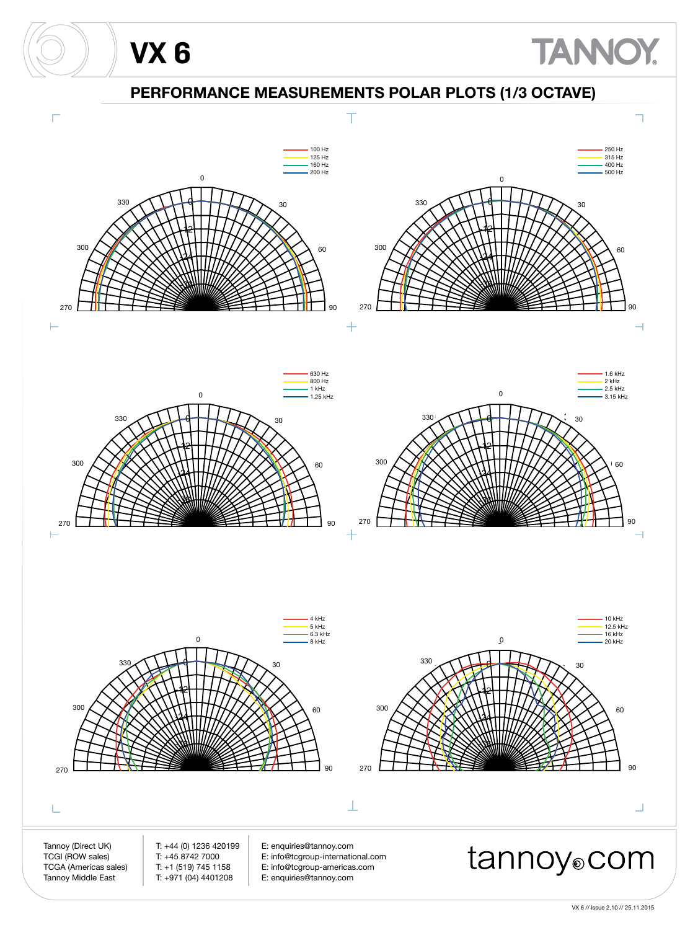

VX 6 // issue 2.10 // 25.11.2015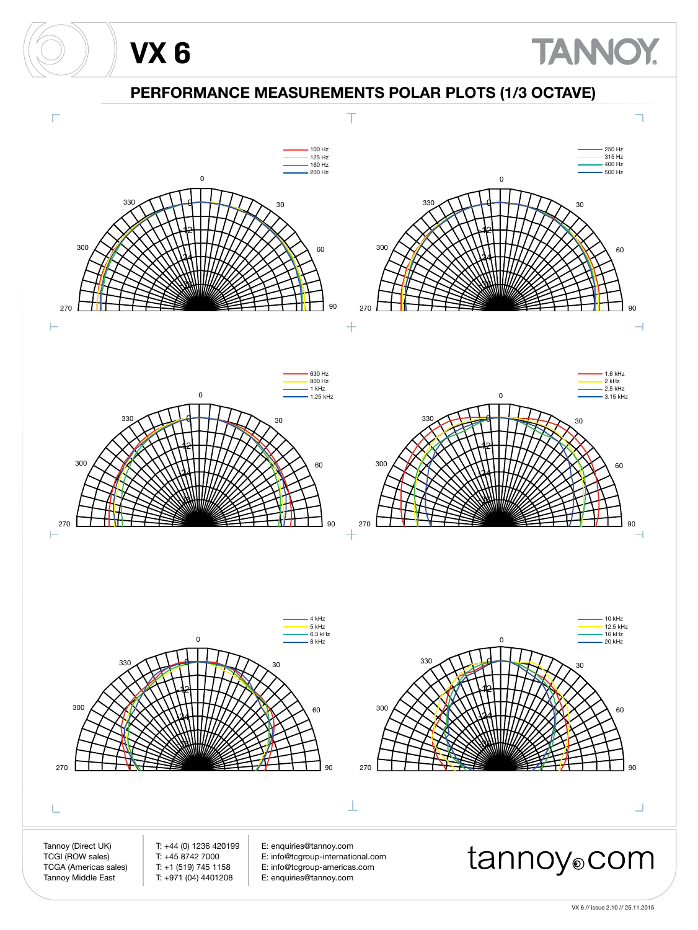

VX 6 // issue 2.10 // 25.11.2015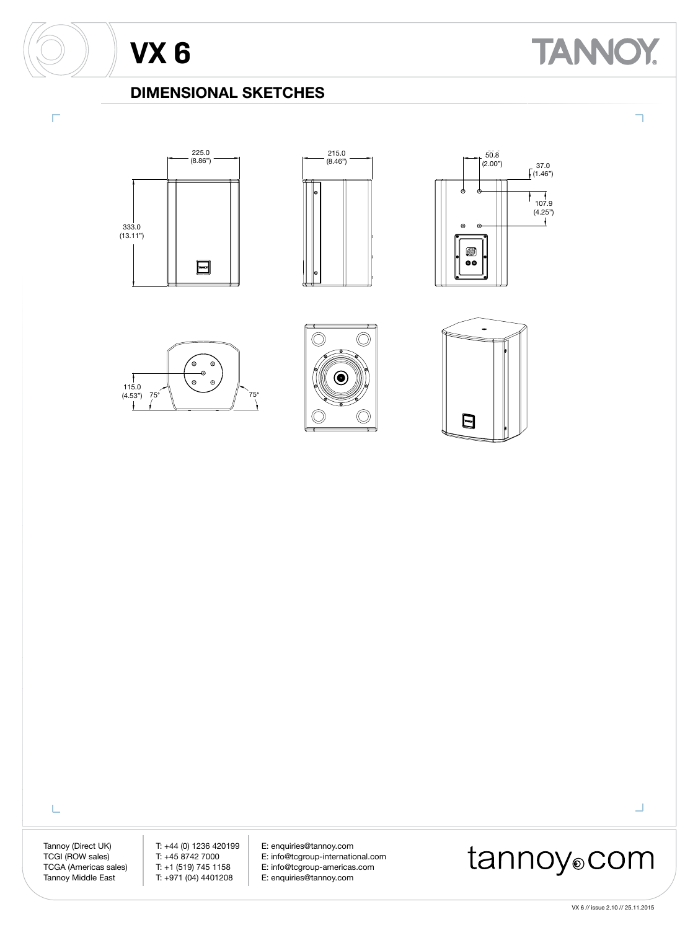Г

# **TANNOY**

٦

### **DIMENSIONAL SKETCHES**













L

Tannoy (Direct UK) T: +44 (0) 1236 420199 E: enquiries@tannoy.com<br>TCGI (ROW sales) T: +45 8742 7000 E: info@tcgroup-internation E: info@tcgroup-international.com TCGA (Americas sales) T: +1 (519) 745 1158 E: info@tcgroup-americas.com<br>Tannoy Middle East T: +971 (04) 4401208 E: enquiries@tannoy.com E: enquiries@tannoy.com

## tannoy®com

VX 6 // issue 2.10 // 25.11.2015

 $\Box$